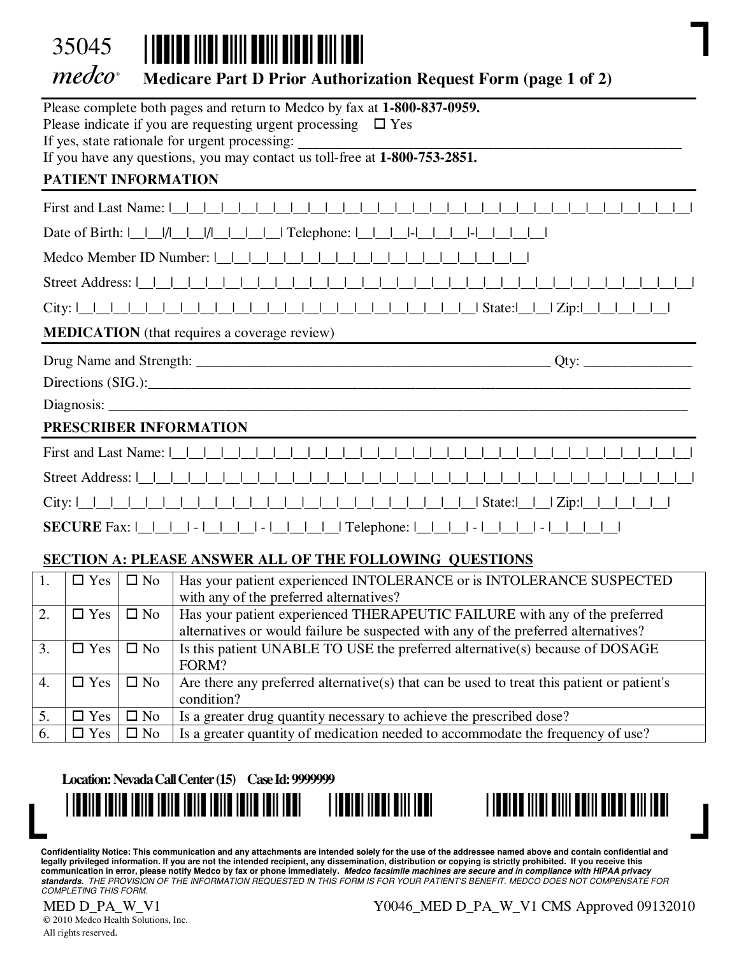

# Medicare Part D Prior Authorization Request Form (page 1 of 2)

|                              |              | Please complete both pages and return to Medco by fax at 1-800-837-0959.                                                                                                                                                                    |  |  |  |  |  |  |  |  |  |  |  |
|------------------------------|--------------|---------------------------------------------------------------------------------------------------------------------------------------------------------------------------------------------------------------------------------------------|--|--|--|--|--|--|--|--|--|--|--|
|                              |              | Please indicate if you are requesting urgent processing $\Box$ Yes                                                                                                                                                                          |  |  |  |  |  |  |  |  |  |  |  |
|                              |              |                                                                                                                                                                                                                                             |  |  |  |  |  |  |  |  |  |  |  |
|                              |              |                                                                                                                                                                                                                                             |  |  |  |  |  |  |  |  |  |  |  |
| PATIENT INFORMATION          |              |                                                                                                                                                                                                                                             |  |  |  |  |  |  |  |  |  |  |  |
|                              |              | First and Last Name: $ $                                                                                                                                                                                                                    |  |  |  |  |  |  |  |  |  |  |  |
|                              |              |                                                                                                                                                                                                                                             |  |  |  |  |  |  |  |  |  |  |  |
| Medco Member ID Number:      |              |                                                                                                                                                                                                                                             |  |  |  |  |  |  |  |  |  |  |  |
| Street Address:              |              |                                                                                                                                                                                                                                             |  |  |  |  |  |  |  |  |  |  |  |
|                              |              |                                                                                                                                                                                                                                             |  |  |  |  |  |  |  |  |  |  |  |
|                              |              | <b>MEDICATION</b> (that requires a coverage review)                                                                                                                                                                                         |  |  |  |  |  |  |  |  |  |  |  |
|                              |              |                                                                                                                                                                                                                                             |  |  |  |  |  |  |  |  |  |  |  |
|                              |              |                                                                                                                                                                                                                                             |  |  |  |  |  |  |  |  |  |  |  |
|                              |              |                                                                                                                                                                                                                                             |  |  |  |  |  |  |  |  |  |  |  |
| PRESCRIBER INFORMATION       |              |                                                                                                                                                                                                                                             |  |  |  |  |  |  |  |  |  |  |  |
| First and Last Name:         |              |                                                                                                                                                                                                                                             |  |  |  |  |  |  |  |  |  |  |  |
| Street Address: I            |              |                                                                                                                                                                                                                                             |  |  |  |  |  |  |  |  |  |  |  |
| City: $\lfloor$              |              |                                                                                                                                                                                                                                             |  |  |  |  |  |  |  |  |  |  |  |
|                              |              | <b>SECURE</b> Fax: $\begin{bmatrix} 1 & 1 & 1 \\ 1 & 1 & 1 \\ 1 & 1 & 1 \end{bmatrix}$ - $\begin{bmatrix} 1 & 1 & 1 \\ 1 & 1 & 1 \\ 1 & 1 & 1 \end{bmatrix}$ Telephone: $\begin{bmatrix} 1 & 1 & 1 \\ 1 & 1 & 1 \\ 1 & 1 & 1 \end{bmatrix}$ |  |  |  |  |  |  |  |  |  |  |  |
|                              |              | <b>SECTION A: PLEASE ANSWER ALL OF THE FOLLOWING QUESTIONS</b>                                                                                                                                                                              |  |  |  |  |  |  |  |  |  |  |  |
| 1.<br>$\Box$ Yes             | $\square$ No | Has your patient experienced INTOLERANCE or is INTOLERANCE SUSPECTED                                                                                                                                                                        |  |  |  |  |  |  |  |  |  |  |  |
|                              |              | with any of the preferred alternatives?                                                                                                                                                                                                     |  |  |  |  |  |  |  |  |  |  |  |
| 2.<br>$\Box$ Yes             | $\square$ No | Has your patient experienced THERAPEUTIC FAILURE with any of the preferred<br>alternatives or would failure be suspected with any of the preferred alternatives?                                                                            |  |  |  |  |  |  |  |  |  |  |  |
| 3.<br>$\Box$ Yes             | $\square$ No | Is this patient UNABLE TO USE the preferred alternative(s) because of DOSAGE                                                                                                                                                                |  |  |  |  |  |  |  |  |  |  |  |
|                              |              | FORM?                                                                                                                                                                                                                                       |  |  |  |  |  |  |  |  |  |  |  |
| 4.<br>$\square$ Yes          | $\square$ No | Are there any preferred alternative(s) that can be used to treat this patient or patient's<br>condition?                                                                                                                                    |  |  |  |  |  |  |  |  |  |  |  |
| $rac{5}{6}$<br>$\square$ Yes | $\square$ No | Is a greater drug quantity necessary to achieve the prescribed dose?                                                                                                                                                                        |  |  |  |  |  |  |  |  |  |  |  |
| $\square$ Yes                | $\square$ No | Is a greater quantity of medication needed to accommodate the frequency of use?                                                                                                                                                             |  |  |  |  |  |  |  |  |  |  |  |
|                              |              |                                                                                                                                                                                                                                             |  |  |  |  |  |  |  |  |  |  |  |

#### Location: Nevada Call Center (15) Case Id: 9999999





Confidentiality Notice: This communication and any attachments are intended solely for the use of the addressee named above and contain confidential and legally privileged information. If you are not the intended recipient, any dissemination, distribution or copying is strictly prohibited. If you receive this communication in error, please notify Medco by fax or phone immediately. Medco facsimile machines are secure and in compliance with HIPAA privacy<br>standards. THE PROVISION OF THE INFORMATION REQUESTED IN THIS FORM IS FOR

© 2010 Medco Health Solutions, Inc. All rights reserved.

MED D\_PA\_W\_V1 Y0046\_MED D\_PA\_W\_V1 CMS Approved 09132010